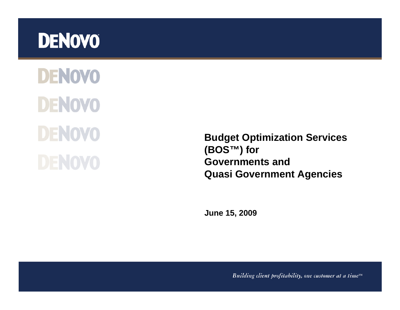## **DENOVO**

**DENOVO DENOVO DENOVO DENOVO** 

**Budget Optimization Services (BOS™) for Governments and Quasi Government Agencies**

**June 15, 2009**

Building client profitability, one customer at a time $T^M$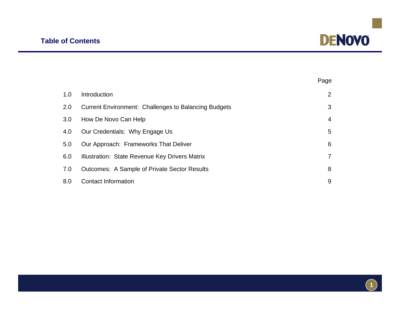

|     |                                                             | Page |  |
|-----|-------------------------------------------------------------|------|--|
| 1.0 | Introduction                                                | 2    |  |
| 2.0 | <b>Current Environment: Challenges to Balancing Budgets</b> |      |  |
| 3.0 | How De Novo Can Help                                        |      |  |
| 4.0 | Our Credentials: Why Engage Us                              | 5    |  |
| 5.0 | Our Approach: Frameworks That Deliver                       | 6    |  |
| 6.0 | Illustration: State Revenue Key Drivers Matrix              | 7    |  |
| 7.0 | <b>Outcomes: A Sample of Private Sector Results</b>         | 8    |  |
| 8.0 | <b>Contact Information</b>                                  | 9    |  |

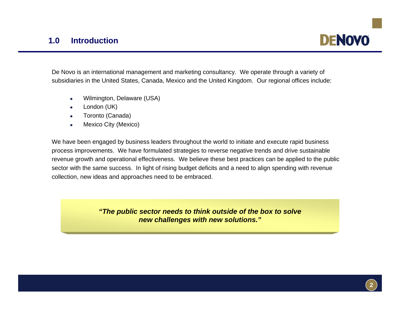

De Novo is an international management and marketing consultancy. We operate through a variety of subsidiaries in the United States, Canada, Mexico and the United Kingdom. Our regional offices include:

- $\bullet$ Wilmington, Delaware (USA)
- o London (UK)
- $\bullet$ Toronto (Canada)
- $\bullet$ Mexico City (Mexico)

We have been engaged by business leaders throughout the world to initiate and execute rapid business process improvements. We have formulated strategies to reverse negative trends and drive sustainable revenue growth and operational effectiveness. We believe these best practices can be applied to the public sector with the same success. In light of rising budget deficits and a need to align spending with revenue collection, new ideas and approaches need to be embraced.

> *"The public sector needs to think outside of the box to solve new challenges with new solutions."*

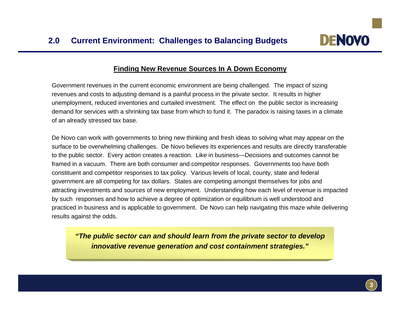

## **Finding New Revenue Sources In A Down Economy**

Government revenues in the current economic environment are being challenged. The impact of sizing revenues and costs to adjusting demand is a painful process in the private sector. It results in higher unemployment, reduced inventories and curtailed investment. The effect on the public sector is increasing demand for services with a shrinking tax base from which to fund it. The paradox is raising taxes in a climate of an already stressed tax base.

De Novo can work with governments to bring new thinking and fresh ideas to solving what may appear on the surface to be overwhelming challenges. De Novo believes its experiences and results are directly transferable to the public sector. Every action creates a reaction. Like in business—Decisions and outcomes cannot be framed in a vacuum. There are both consumer and competitor responses. Governments too have both constituent and competitor responses to tax policy. Various levels of local, county, state and federal government are all competing for tax dollars. States are competing amongst themselves for jobs and attracting investments and sources of new employment. Understanding how each level of revenue is impacted by such responses and how to achieve a degree of optimization or equilibrium is well understood and practiced in business and is applicable to government. De Novo can help navigating this maze while delivering results against the odds.

*"The public sector can and should learn from the private sector to develop innovative revenue generation and cost containment strategies."*

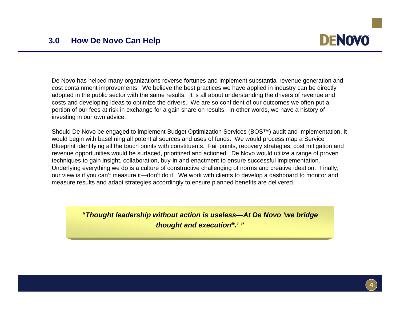

De Novo has helped many organizations reverse fortunes and implement substantial revenue generation and cost containment improvements. We believe the best practices we have applied in industry can be directly adopted in the public sector with the same results. It is all about understanding the drivers of revenue and costs and developing ideas to optimize the drivers. We are so confident of our outcomes we often put a portion of our fees at risk in exchange for a gain share on results. In other words, we have a history of investing in our own advice.

Should De Novo be engaged to implement Budget Optimization Services (BOS™) audit and implementation, it would begin with baselining all potential sources and uses of funds. We would process map a Service Blueprint identifying all the touch points with constituents. Fail points, recovery strategies, cost mitigation and revenue opportunities would be surfaced, prioritized and actioned. De Novo would utilize a range of proven techniques to gain insight, collaboration, buy-in and enactment to ensure successful implementation. Underlying everything we do is a culture of constructive challenging of norms and creative ideation. Finally, our view is if you can't measure it—don't do it. We work with clients to develop a dashboard to monitor and measure results and adapt strategies accordingly to ensure planned benefits are delivered.

> *"Thought leadership without action is useless—At De Novo 'we bridge thought and execution®.' "*

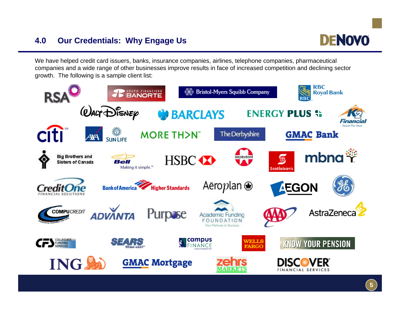## **4.0 Our Credentials: Why Engage Us**



We have helped credit card issuers, banks, insurance companies, airlines, telephone companies, pharmaceutical companies and a wide range of other businesses improve results in face of increased competition and declining sector growth. The following is a sample client list:

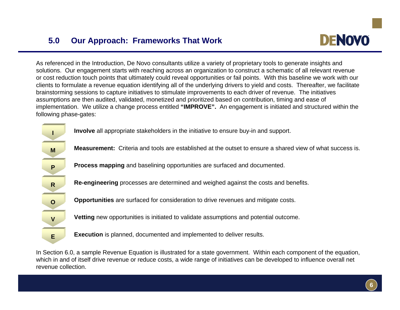

As referenced in the Introduction, De Novo consultants utilize a variety of proprietary tools to generate insights and solutions. Our engagement starts with reaching across an organization to construct a schematic of all relevant revenue or cost reduction touch points that ultimately could reveal opportunities or fail points. With this baseline we work with our clients to formulate a revenue equation identifying all of the underlying drivers to yield and costs. Thereafter, we facilitat e brainstorming sessions to capture initiatives to stimulate improvements to each driver of revenue. The initiatives assumptions are then audited, validated, monetized and prioritized based on contribution, timing and ease of implementation. We utilize a change process entitled **"IMPROVE".** An engagement is initiated and structured within the following phase-gates:



**Involve** all appropriate stakeholders in the initiative to ensure buy-in and support. **<sup>I</sup>**

**Measurement:** Criteria and tools are established at the outset to ensure a shared view of what success is.

**Process mapping** and baselining opportunities are surfaced and documented.

**Re-engineering** processes are determined and weighed against the costs and benefits.

**Opportunities** are surfaced for consideration to drive revenues and mitigate costs.

**Vetting** new opportunities is initiated to validate assumptions and potential outcome.

**Execution** is planned, documented and implemented to deliver results.

In Section 6.0, a sample Revenue Equation is illustrated for a state government. Within each component of the equation, which in and of itself drive revenue or reduce costs, a wide range of initiatives can be developed to influence overall net revenue collection.

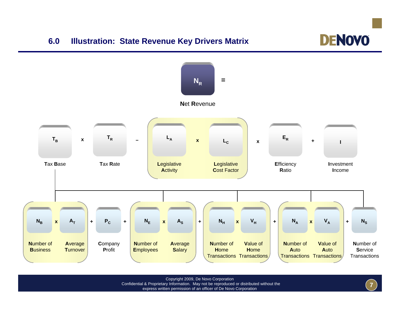## **6.0 Illustration: State Revenue Key Drivers Matrix**





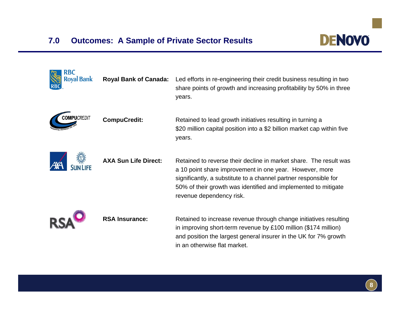

| <b>Royal Bank</b>  | <b>Royal Bank of Canada:</b> | Led efforts in re-engineering their credit business resulting in two<br>share points of growth and increasing profitability by 50% in three<br>years.                                                                                                                                          |
|--------------------|------------------------------|------------------------------------------------------------------------------------------------------------------------------------------------------------------------------------------------------------------------------------------------------------------------------------------------|
| <b>COMPUCREDIT</b> | <b>CompuCredit:</b>          | Retained to lead growth initiatives resulting in turning a<br>\$20 million capital position into a \$2 billion market cap within five<br>years.                                                                                                                                                |
|                    | <b>AXA Sun Life Direct:</b>  | Retained to reverse their decline in market share. The result was<br>a 10 point share improvement in one year. However, more<br>significantly, a substitute to a channel partner responsible for<br>50% of their growth was identified and implemented to mitigate<br>revenue dependency risk. |
|                    | <b>RSA Insurance:</b>        | Retained to increase revenue through change initiatives resulting<br>in improving short-term revenue by $£100$ million (\$174 million)<br>and position the largest general insurer in the UK for 7% growth<br>in an otherwise flat market.                                                     |